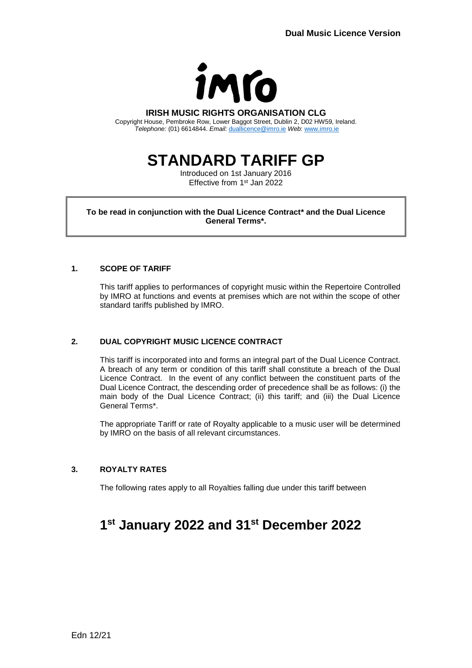

#### **IRISH MUSIC RIGHTS ORGANISATION CLG**

Copyright House, Pembroke Row, Lower Baggot Street, Dublin 2, D02 HW59, Ireland. *Telephone:* (01) 6614844. *Email:* [duallicence@imro.ie](mailto:duallicence@imro.ie) *Web*: [www.imro.ie](http://www.imro.ie/)

# **STANDARD TARIFF GP**

Introduced on 1st January 2016 Effective from 1<sup>st</sup> Jan 2022

**To be read in conjunction with the Dual Licence Contract\* and the Dual Licence General Terms\*.**

## **1. SCOPE OF TARIFF**

This tariff applies to performances of copyright music within the Repertoire Controlled by IMRO at functions and events at premises which are not within the scope of other standard tariffs published by IMRO.

## **2. DUAL COPYRIGHT MUSIC LICENCE CONTRACT**

This tariff is incorporated into and forms an integral part of the Dual Licence Contract. A breach of any term or condition of this tariff shall constitute a breach of the Dual Licence Contract. In the event of any conflict between the constituent parts of the Dual Licence Contract, the descending order of precedence shall be as follows: (i) the main body of the Dual Licence Contract; (ii) this tariff; and (iii) the Dual Licence General Terms\*.

The appropriate Tariff or rate of Royalty applicable to a music user will be determined by IMRO on the basis of all relevant circumstances.

## **3. ROYALTY RATES**

The following rates apply to all Royalties falling due under this tariff between

## **1 st January 2022 and 31st December 2022**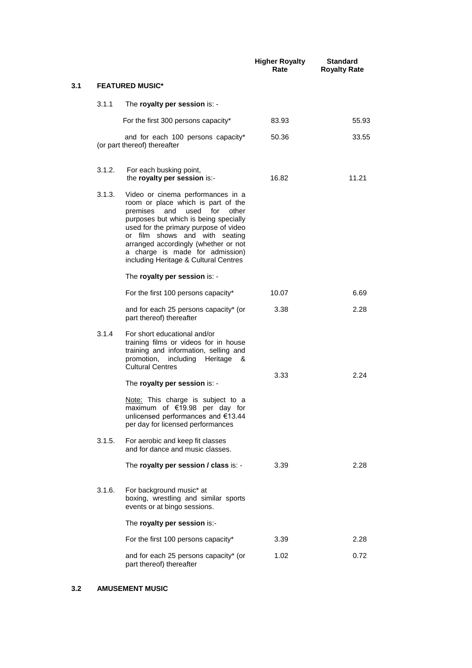|     |        |                                                                                                                                                                                                                                                                                                                                                            | <b>Higher Royalty</b><br>Rate | <b>Standard</b><br><b>Royalty Rate</b> |
|-----|--------|------------------------------------------------------------------------------------------------------------------------------------------------------------------------------------------------------------------------------------------------------------------------------------------------------------------------------------------------------------|-------------------------------|----------------------------------------|
| 3.1 |        | <b>FEATURED MUSIC*</b>                                                                                                                                                                                                                                                                                                                                     |                               |                                        |
|     | 3.1.1  | The royalty per session is: -                                                                                                                                                                                                                                                                                                                              |                               |                                        |
|     |        | For the first 300 persons capacity*                                                                                                                                                                                                                                                                                                                        | 83.93                         | 55.93                                  |
|     |        | and for each 100 persons capacity*<br>(or part thereof) thereafter                                                                                                                                                                                                                                                                                         | 50.36                         | 33.55                                  |
|     | 3.1.2. | For each busking point,<br>the royalty per session is:-                                                                                                                                                                                                                                                                                                    | 16.82                         | 11.21                                  |
|     | 3.1.3. | Video or cinema performances in a<br>room or place which is part of the<br>and<br>used<br>for<br>other<br>premises<br>purposes but which is being specially<br>used for the primary purpose of video<br>or film shows and with seating<br>arranged accordingly (whether or not<br>a charge is made for admission)<br>including Heritage & Cultural Centres |                               |                                        |
|     |        | The royalty per session is: -                                                                                                                                                                                                                                                                                                                              |                               |                                        |
|     |        | For the first 100 persons capacity*                                                                                                                                                                                                                                                                                                                        | 10.07                         | 6.69                                   |
|     |        | and for each 25 persons capacity* (or<br>part thereof) thereafter                                                                                                                                                                                                                                                                                          | 3.38                          | 2.28                                   |
|     | 3.1.4  | For short educational and/or<br>training films or videos for in house<br>training and information, selling and<br>promotion, including Heritage<br>&<br><b>Cultural Centres</b>                                                                                                                                                                            | 3.33                          | 2.24                                   |
|     |        | The royalty per session is: -                                                                                                                                                                                                                                                                                                                              |                               |                                        |
|     |        | Note: This charge is subject to a<br>maximum of €19.98 per day for<br>unlicensed performances and €13.44<br>per day for licensed performances                                                                                                                                                                                                              |                               |                                        |
|     | 3.1.5. | For aerobic and keep fit classes<br>and for dance and music classes.                                                                                                                                                                                                                                                                                       |                               |                                        |
|     |        | The royalty per session / class is: -                                                                                                                                                                                                                                                                                                                      | 3.39                          | 2.28                                   |
|     | 3.1.6. | For background music* at<br>boxing, wrestling and similar sports<br>events or at bingo sessions.                                                                                                                                                                                                                                                           |                               |                                        |
|     |        | The royalty per session is:-                                                                                                                                                                                                                                                                                                                               |                               |                                        |
|     |        | For the first 100 persons capacity*                                                                                                                                                                                                                                                                                                                        | 3.39                          | 2.28                                   |
|     |        | and for each 25 persons capacity* (or<br>part thereof) thereafter                                                                                                                                                                                                                                                                                          | 1.02                          | 0.72                                   |

## **3.2 AMUSEMENT MUSIC**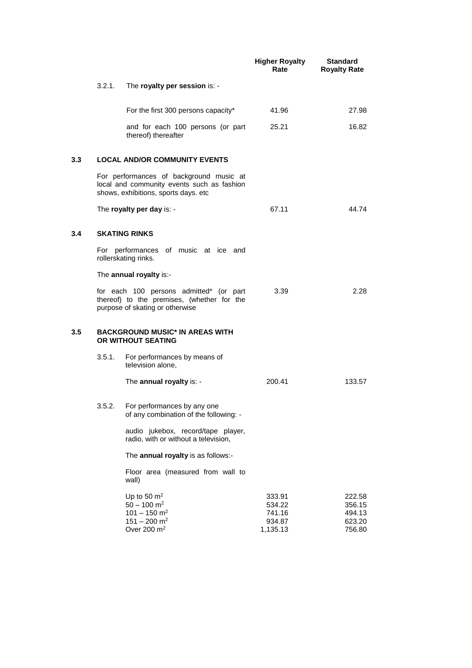|     |        |                                                                                                                               | <b>Higher Royalty</b><br>Rate                    | <b>Standard</b><br><b>Royalty Rate</b>         |
|-----|--------|-------------------------------------------------------------------------------------------------------------------------------|--------------------------------------------------|------------------------------------------------|
|     | 3.2.1. | The royalty per session is: -                                                                                                 |                                                  |                                                |
|     |        | For the first 300 persons capacity*                                                                                           | 41.96                                            | 27.98                                          |
|     |        | and for each 100 persons (or part<br>thereof) thereafter                                                                      | 25.21                                            | 16.82                                          |
| 3.3 |        | <b>LOCAL AND/OR COMMUNITY EVENTS</b>                                                                                          |                                                  |                                                |
|     |        | For performances of background music at<br>local and community events such as fashion<br>shows, exhibitions, sports days. etc |                                                  |                                                |
|     |        | The royalty per day is: -                                                                                                     | 67.11                                            | 44.74                                          |
| 3.4 |        | <b>SKATING RINKS</b>                                                                                                          |                                                  |                                                |
|     |        | For performances of music at ice and<br>rollerskating rinks.                                                                  |                                                  |                                                |
|     |        | The annual royalty is:-                                                                                                       |                                                  |                                                |
|     |        | for each 100 persons admitted* (or part<br>thereof) to the premises, (whether for the<br>purpose of skating or otherwise      | 3.39                                             | 2.28                                           |
| 3.5 |        | <b>BACKGROUND MUSIC* IN AREAS WITH</b><br>OR WITHOUT SEATING                                                                  |                                                  |                                                |
|     | 3.5.1. | For performances by means of<br>television alone,                                                                             |                                                  |                                                |
|     |        | The annual royalty is: -                                                                                                      | 200.41                                           | 133.57                                         |
|     | 3.5.2. | For performances by any one<br>of any combination of the following: -                                                         |                                                  |                                                |
|     |        | audio jukebox, record/tape player,<br>radio, with or without a television,                                                    |                                                  |                                                |
|     |        | The annual royalty is as follows:-                                                                                            |                                                  |                                                |
|     |        | Floor area (measured from wall to<br>wall)                                                                                    |                                                  |                                                |
|     |        | Up to 50 $m2$<br>$50 - 100$ m <sup>2</sup><br>$101 - 150$ m <sup>2</sup><br>$151 - 200$ m <sup>2</sup><br>Over 200 $m2$       | 333.91<br>534.22<br>741.16<br>934.87<br>1,135.13 | 222.58<br>356.15<br>494.13<br>623.20<br>756.80 |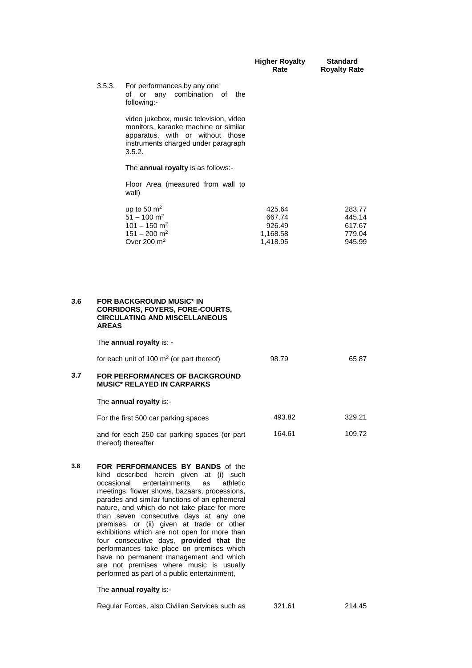|     |              |                                                                                                                                                                                                                                                                                                                                                                                                                                                      | <b>Higher Royalty</b><br>Rate                      | <b>Standard</b><br><b>Royalty Rate</b>         |
|-----|--------------|------------------------------------------------------------------------------------------------------------------------------------------------------------------------------------------------------------------------------------------------------------------------------------------------------------------------------------------------------------------------------------------------------------------------------------------------------|----------------------------------------------------|------------------------------------------------|
|     | 3.5.3.       | For performances by any one<br>of or any<br>combination of the<br>following:-                                                                                                                                                                                                                                                                                                                                                                        |                                                    |                                                |
|     |              | video jukebox, music television, video<br>monitors, karaoke machine or similar<br>apparatus, with or without those<br>instruments charged under paragraph<br>3.5.2.                                                                                                                                                                                                                                                                                  |                                                    |                                                |
|     |              | The annual royalty is as follows:-                                                                                                                                                                                                                                                                                                                                                                                                                   |                                                    |                                                |
|     |              | Floor Area (measured from wall to<br>wall)                                                                                                                                                                                                                                                                                                                                                                                                           |                                                    |                                                |
|     |              | up to 50 $m2$<br>$51 - 100$ m <sup>2</sup><br>$101 - 150$ m <sup>2</sup><br>$151 - 200$ m <sup>2</sup><br>Over 200 $m2$                                                                                                                                                                                                                                                                                                                              | 425.64<br>667.74<br>926.49<br>1,168.58<br>1,418.95 | 283.77<br>445.14<br>617.67<br>779.04<br>945.99 |
| 3.6 | <b>AREAS</b> | <b>FOR BACKGROUND MUSIC* IN</b><br><b>CORRIDORS, FOYERS, FORE-COURTS,</b><br><b>CIRCULATING AND MISCELLANEOUS</b>                                                                                                                                                                                                                                                                                                                                    |                                                    |                                                |
|     |              | The annual royalty is: -                                                                                                                                                                                                                                                                                                                                                                                                                             |                                                    |                                                |
| 3.7 |              | for each unit of 100 $m2$ (or part thereof)<br><b>FOR PERFORMANCES OF BACKGROUND</b><br><b>MUSIC* RELAYED IN CARPARKS</b>                                                                                                                                                                                                                                                                                                                            | 98.79                                              | 65.87                                          |
|     |              | The annual royalty is:-                                                                                                                                                                                                                                                                                                                                                                                                                              |                                                    |                                                |
|     |              | For the first 500 car parking spaces                                                                                                                                                                                                                                                                                                                                                                                                                 | 493.82                                             | 329.21                                         |
|     |              | and for each 250 car parking spaces (or part<br>thereof) thereafter                                                                                                                                                                                                                                                                                                                                                                                  | 164.61                                             | 109.72                                         |
| 3.8 | occasional   | FOR PERFORMANCES BY BANDS of the<br>kind described herein given at (i) such<br>entertainments<br>athletic<br>as<br>meetings, flower shows, bazaars, processions,<br>parades and similar functions of an ephemeral<br>nature, and which do not take place for more<br>than seven consecutive days at any one<br>premises, or (ii) given at trade or other<br>exhibitions which are not open for more than<br>four consecutive days, provided that the |                                                    |                                                |

Regular Forces, also Civilian Services such as 321.61 214.45

performances take place on premises which have no permanent management and which are not premises where music is usually performed as part of a public entertainment,

The **annual royalty** is:-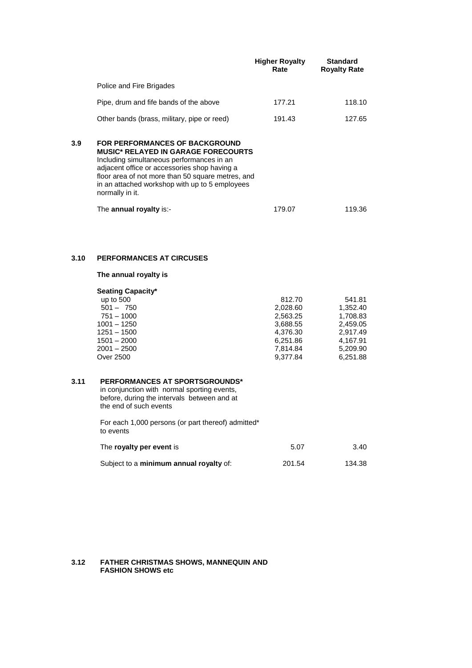|     |                                                                                                                                                                                                                                                                                                     | <b>Higher Royalty</b><br>Rate | <b>Standard</b><br><b>Royalty Rate</b> |
|-----|-----------------------------------------------------------------------------------------------------------------------------------------------------------------------------------------------------------------------------------------------------------------------------------------------------|-------------------------------|----------------------------------------|
|     | Police and Fire Brigades                                                                                                                                                                                                                                                                            |                               |                                        |
|     | Pipe, drum and fife bands of the above                                                                                                                                                                                                                                                              | 177.21                        | 118.10                                 |
|     | Other bands (brass, military, pipe or reed)                                                                                                                                                                                                                                                         | 191.43                        | 127.65                                 |
| 3.9 | FOR PERFORMANCES OF BACKGROUND<br><b>MUSIC* RELAYED IN GARAGE FORECOURTS</b><br>Including simultaneous performances in an<br>adjacent office or accessories shop having a<br>floor area of not more than 50 square metres, and<br>in an attached workshop with up to 5 employees<br>normally in it. |                               |                                        |
|     | The annual royalty is:-                                                                                                                                                                                                                                                                             | 179.07                        | 119.36                                 |

## **3.10 PERFORMANCES AT CIRCUSES**

**The annual royalty is** 

## **Seating Capacity\*** up to 500

| $501 - 750$   | 2,028.60 | 1.352.40 |
|---------------|----------|----------|
| 751 – 1000    | 2.563.25 | 1.708.83 |
| 1001 - 1250   | 3,688.55 | 2.459.05 |
| 1251 – 1500   | 4.376.30 | 2.917.49 |
| $1501 - 2000$ | 6,251.86 | 4.167.91 |
| 2001 – 2500   | 7.814.84 | 5.209.90 |
| Over 2500     | 9,377.84 | 6,251.88 |
|               |          |          |

812.70

541.81

#### **3.11 PERFORMANCES AT SPORTSGROUNDS\***

in conjunction with normal sporting events, before, during the intervals between and at the end of such events

For each 1,000 persons (or part thereof) admitted\* to events

| The royalty per event is                | 5.07   | 3.40   |
|-----------------------------------------|--------|--------|
| Subject to a minimum annual royalty of: | 201.54 | 134.38 |

#### **3.12 FATHER CHRISTMAS SHOWS, MANNEQUIN AND FASHION SHOWS etc**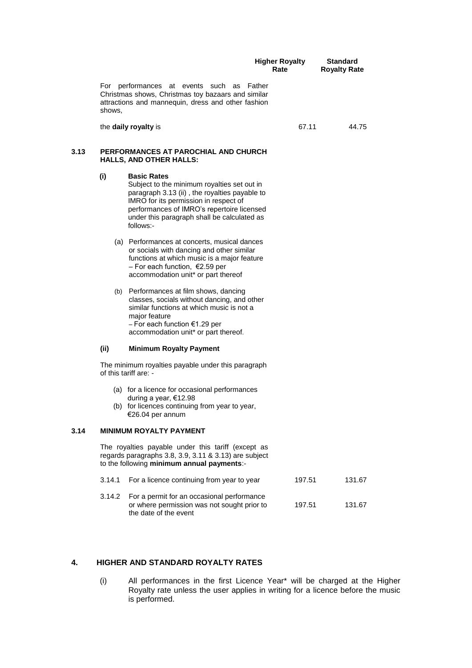|      |        |                                                                                                                                                                                                                                                                       | <b>Higher Royalty</b><br>Rate | <b>Standard</b><br><b>Royalty Rate</b> |
|------|--------|-----------------------------------------------------------------------------------------------------------------------------------------------------------------------------------------------------------------------------------------------------------------------|-------------------------------|----------------------------------------|
|      | shows. | For performances at events such as<br>Christmas shows, Christmas toy bazaars and similar<br>attractions and mannequin, dress and other fashion                                                                                                                        | Father                        |                                        |
|      |        | the daily royalty is                                                                                                                                                                                                                                                  | 67.11                         | 44.75                                  |
| 3.13 |        | PERFORMANCES AT PAROCHIAL AND CHURCH<br><b>HALLS, AND OTHER HALLS:</b>                                                                                                                                                                                                |                               |                                        |
|      | (i)    | <b>Basic Rates</b><br>Subject to the minimum royalties set out in<br>paragraph 3.13 (ii), the royalties payable to<br>IMRO for its permission in respect of<br>performances of IMRO's repertoire licensed<br>under this paragraph shall be calculated as<br>follows:- |                               |                                        |
|      |        | (a) Performances at concerts, musical dances<br>or socials with dancing and other similar<br>functions at which music is a major feature<br>- For each function, $\epsilon$ 2.59 per<br>accommodation unit* or part thereof                                           |                               |                                        |
|      | (b)    | Performances at film shows, dancing<br>classes, socials without dancing, and other<br>similar functions at which music is not a<br>major feature<br>- For each function €1.29 per<br>accommodation unit* or part thereof.                                             |                               |                                        |
|      | (ii)   | <b>Minimum Royalty Payment</b>                                                                                                                                                                                                                                        |                               |                                        |
|      |        | The minimum royalties payable under this paragraph<br>of this tariff are: -                                                                                                                                                                                           |                               |                                        |
|      |        | (a) for a licence for occasional performances<br>during a year, €12.98<br>(b) for licences continuing from year to year,<br>€26.04 per annum                                                                                                                          |                               |                                        |
| 3.14 |        | <b>MINIMUM ROYALTY PAYMENT</b>                                                                                                                                                                                                                                        |                               |                                        |
|      |        | The royalties payable under this tariff (except as<br>regards paragraphs 3.8, 3.9, 3.11 & 3.13) are subject<br>to the following minimum annual payments:-                                                                                                             |                               |                                        |
|      | 3.14.1 | For a licence continuing from year to year                                                                                                                                                                                                                            | 197.51                        | 131.67                                 |
|      | 3.14.2 | For a permit for an occasional performance<br>or where permission was not sought prior to<br>the date of the event                                                                                                                                                    | 197.51                        | 131.67                                 |
|      |        |                                                                                                                                                                                                                                                                       |                               |                                        |

## **4. HIGHER AND STANDARD ROYALTY RATES**

(i) All performances in the first Licence Year\* will be charged at the Higher Royalty rate unless the user applies in writing for a licence before the music is performed.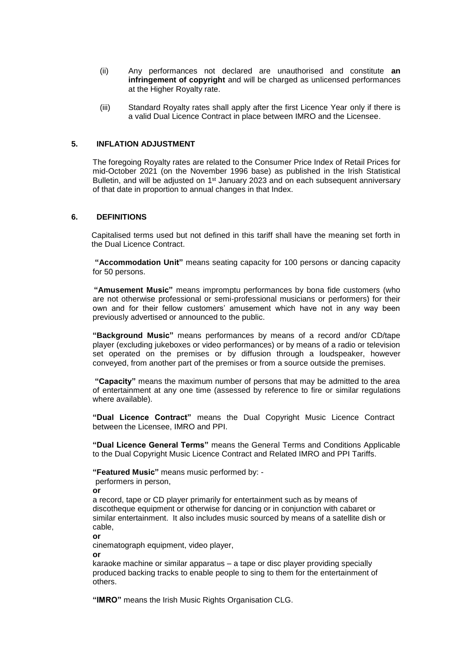- (ii) Any performances not declared are unauthorised and constitute **an infringement of copyright** and will be charged as unlicensed performances at the Higher Royalty rate.
- (iii) Standard Royalty rates shall apply after the first Licence Year only if there is a valid Dual Licence Contract in place between IMRO and the Licensee.

## **5. INFLATION ADJUSTMENT**

The foregoing Royalty rates are related to the Consumer Price Index of Retail Prices for mid-October 2021 (on the November 1996 base) as published in the Irish Statistical Bulletin, and will be adjusted on 1<sup>st</sup> January 2023 and on each subsequent anniversary of that date in proportion to annual changes in that Index.

#### **6. DEFINITIONS**

Capitalised terms used but not defined in this tariff shall have the meaning set forth in the Dual Licence Contract.

**"Accommodation Unit"** means seating capacity for 100 persons or dancing capacity for 50 persons.

**"Amusement Music"** means impromptu performances by bona fide customers (who are not otherwise professional or semi-professional musicians or performers) for their own and for their fellow customers' amusement which have not in any way been previously advertised or announced to the public.

**"Background Music"** means performances by means of a record and/or CD/tape player (excluding jukeboxes or video performances) or by means of a radio or television set operated on the premises or by diffusion through a loudspeaker, however conveyed, from another part of the premises or from a source outside the premises.

**"Capacity"** means the maximum number of persons that may be admitted to the area of entertainment at any one time (assessed by reference to fire or similar regulations where available).

**"Dual Licence Contract"** means the Dual Copyright Music Licence Contract between the Licensee, IMRO and PPI.

**"Dual Licence General Terms"** means the General Terms and Conditions Applicable to the Dual Copyright Music Licence Contract and Related IMRO and PPI Tariffs.

**"Featured Music"** means music performed by: -

performers in person,

**or** 

a record, tape or CD player primarily for entertainment such as by means of discotheque equipment or otherwise for dancing or in conjunction with cabaret or similar entertainment. It also includes music sourced by means of a satellite dish or cable,

**or**

cinematograph equipment, video player,

**or** 

karaoke machine or similar apparatus – a tape or disc player providing specially produced backing tracks to enable people to sing to them for the entertainment of others.

**"IMRO"** means the Irish Music Rights Organisation CLG.